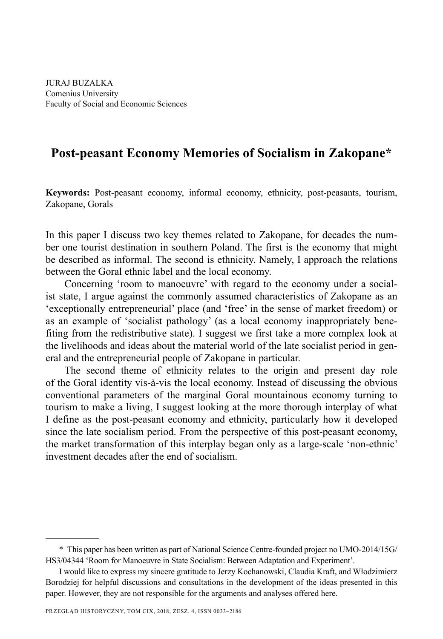JURAJ BUZALKA Comenius University Faculty of Social and Economic Sciences

# **Post-peasant Economy Memories of Socialism in Zakopane\***

**Keywords:** Post-peasant economy, informal economy, ethnicity, post-peasants, tourism, Zakopane, Gorals

In this paper I discuss two key themes related to Zakopane, for decades the number one tourist destination in southern Poland. The first is the economy that might be described as informal. The second is ethnicity. Namely, I approach the relations between the Goral ethnic label and the local economy.

Concerning 'room to manoeuvre' with regard to the economy under a socialist state, I argue against the commonly assumed characteristics of Zakopane as an 'exceptionally entrepreneurial' place (and 'free' in the sense of market freedom) or as an example of 'socialist pathology' (as a local economy inappropriately benefiting from the redistributive state). I suggest we first take a more complex look at the livelihoods and ideas about the material world of the late socialist period in general and the entrepreneurial people of Zakopane in particular.

The second theme of ethnicity relates to the origin and present day role of the Goral identity vis-à-vis the local economy. Instead of discussing the obvious conventional parameters of the marginal Goral mountainous economy turning to tourism to make a living, I suggest looking at the more thorough interplay of what I define as the post-peasant economy and ethnicity, particularly how it developed since the late socialism period. From the perspective of this post-peasant economy, the market transformation of this interplay began only as a large-scale 'non-ethnic' investment decades after the end of socialism.

<sup>\*</sup> This paper has been written as part of National Science Centre-founded project no UMO-2014/15G/ HS3/04344 'Room for Manoeuvre in State Socialism: Between Adaptation and Experiment'.

I would like to express my sincere gratitude to Jerzy Kochanowski, Claudia Kraft, and Włodzimierz Borodziej for helpful discussions and consultations in the development of the ideas presented in this paper. However, they are not responsible for the arguments and analyses offered here.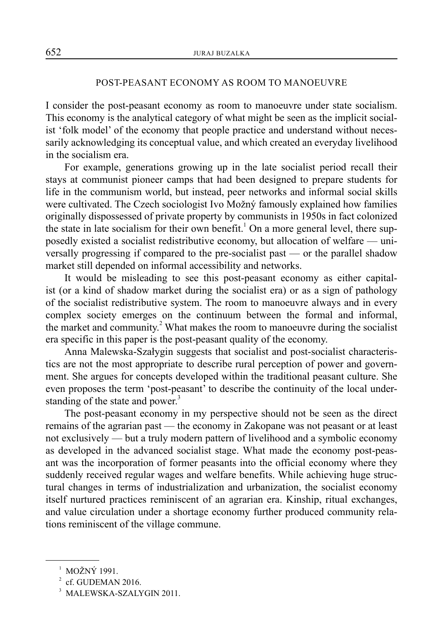## POST-PEASANT ECONOMY AS ROOM TO MANOEUVRE

I consider the post-peasant economy as room to manoeuvre under state socialism. This economy is the analytical category of what might be seen as the implicit socialist 'folk model' of the economy that people practice and understand without necessarily acknowledging its conceptual value, and which created an everyday livelihood in the socialism era.

For example, generations growing up in the late socialist period recall their stays at communist pioneer camps that had been designed to prepare students for life in the communism world, but instead, peer networks and informal social skills were cultivated. The Czech sociologist Ivo Možný famously explained how families originally dispossessed of private property by communists in 1950s in fact colonized the state in late socialism for their own benefit.<sup>1</sup> On a more general level, there supposedly existed a socialist redistributive economy, but allocation of welfare — universally progressing if compared to the pre-socialist past — or the parallel shadow market still depended on informal accessibility and networks.

It would be misleading to see this post-peasant economy as either capitalist (or a kind of shadow market during the socialist era) or as a sign of pathology of the socialist redistributive system. The room to manoeuvre always and in every complex society emerges on the continuum between the formal and informal, the market and community.<sup>2</sup> What makes the room to manoeuvre during the socialist era specific in this paper is the post-peasant quality of the economy.

Anna Malewska-Szałygin suggests that socialist and post-socialist characteristics are not the most appropriate to describe rural perception of power and government. She argues for concepts developed within the traditional peasant culture. She even proposes the term 'post-peasant' to describe the continuity of the local understanding of the state and power.<sup>3</sup>

The post-peasant economy in my perspective should not be seen as the direct remains of the agrarian past — the economy in Zakopane was not peasant or at least not exclusively — but a truly modern pattern of livelihood and a symbolic economy as developed in the advanced socialist stage. What made the economy post-peasant was the incorporation of former peasants into the official economy where they suddenly received regular wages and welfare benefits. While achieving huge structural changes in terms of industrialization and urbanization, the socialist economy itself nurtured practices reminiscent of an agrarian era. Kinship, ritual exchanges, and value circulation under a shortage economy further produced community relations reminiscent of the village commune.

<sup>&</sup>lt;sup>1</sup> MOŽNÝ 1991.

 $2$  cf. GUDEMAN 2016.

<sup>3</sup> MALEWSKA-SZALYGIN 2011.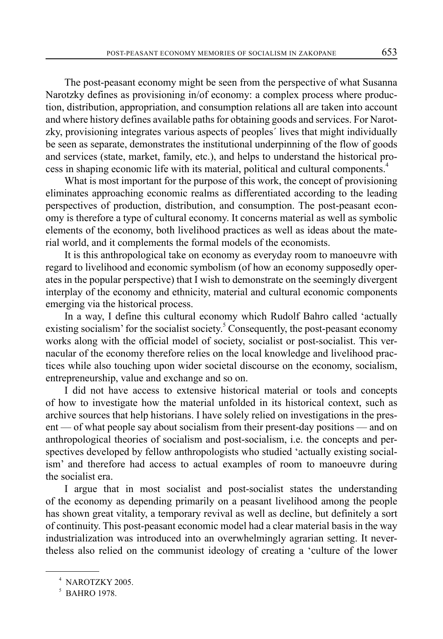The post-peasant economy might be seen from the perspective of what Susanna Narotzky defines as provisioning in/of economy: a complex process where production, distribution, appropriation, and consumption relations all are taken into account and where history defines available paths for obtaining goods and services. For Narotzky, provisioning integrates various aspects of peoples´ lives that might individually be seen as separate, demonstrates the institutional underpinning of the flow of goods and services (state, market, family, etc.), and helps to understand the historical process in shaping economic life with its material, political and cultural components.4

What is most important for the purpose of this work, the concept of provisioning eliminates approaching economic realms as differentiated according to the leading perspectives of production, distribution, and consumption. The post-peasant economy is therefore a type of cultural economy. It concerns material as well as symbolic elements of the economy, both livelihood practices as well as ideas about the material world, and it complements the formal models of the economists.

It is this anthropological take on economy as everyday room to manoeuvre with regard to livelihood and economic symbolism (of how an economy supposedly operates in the popular perspective) that I wish to demonstrate on the seemingly divergent interplay of the economy and ethnicity, material and cultural economic components emerging via the historical process.

In a way, I define this cultural economy which Rudolf Bahro called 'actually existing socialism' for the socialist society.<sup>5</sup> Consequently, the post-peasant economy works along with the official model of society, socialist or post-socialist. This vernacular of the economy therefore relies on the local knowledge and livelihood practices while also touching upon wider societal discourse on the economy, socialism, entrepreneurship, value and exchange and so on.

I did not have access to extensive historical material or tools and concepts of how to investigate how the material unfolded in its historical context, such as archive sources that help historians. I have solely relied on investigations in the present — of what people say about socialism from their present-day positions — and on anthropological theories of socialism and post-socialism, i.e. the concepts and perspectives developed by fellow anthropologists who studied 'actually existing socialism' and therefore had access to actual examples of room to manoeuvre during the socialist era.

I argue that in most socialist and post-socialist states the understanding of the economy as depending primarily on a peasant livelihood among the people has shown great vitality, a temporary revival as well as decline, but definitely a sort of continuity. This post-peasant economic model had a clear material basis in the way industrialization was introduced into an overwhelmingly agrarian setting. It nevertheless also relied on the communist ideology of creating a 'culture of the lower

<sup>4</sup> NAROTZKY 2005.

<sup>5</sup> BAHRO 1978.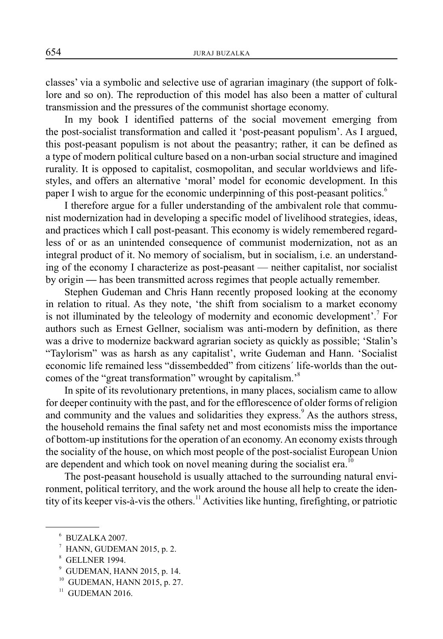classes' via a symbolic and selective use of agrarian imaginary (the support of folklore and so on). The reproduction of this model has also been a matter of cultural transmission and the pressures of the communist shortage economy.

In my book I identified patterns of the social movement emerging from the post-socialist transformation and called it 'post-peasant populism'. As I argued, this post-peasant populism is not about the peasantry; rather, it can be defined as a type of modern political culture based on a non-urban social structure and imagined rurality. It is opposed to capitalist, cosmopolitan, and secular worldviews and lifestyles, and offers an alternative 'moral' model for economic development. In this paper I wish to argue for the economic underpinning of this post-peasant politics.<sup>6</sup>

I therefore argue for a fuller understanding of the ambivalent role that communist modernization had in developing a specific model of livelihood strategies, ideas, and practices which I call post-peasant. This economy is widely remembered regardless of or as an unintended consequence of communist modernization, not as an integral product of it. No memory of socialism, but in socialism, i.e. an understanding of the economy I characterize as post-peasant — neither capitalist, nor socialist by origin **—** has been transmitted across regimes that people actually remember.

Stephen Gudeman and Chris Hann recently proposed looking at the economy in relation to ritual. As they note, 'the shift from socialism to a market economy is not illuminated by the teleology of modernity and economic development'.<sup>7</sup> For authors such as Ernest Gellner, socialism was anti-modern by definition, as there was a drive to modernize backward agrarian society as quickly as possible; 'Stalin's "Taylorism" was as harsh as any capitalist', write Gudeman and Hann. 'Socialist economic life remained less "dissembedded" from citizens´ life-worlds than the outcomes of the "great transformation" wrought by capitalism.'8

In spite of its revolutionary pretentions, in many places, socialism came to allow for deeper continuity with the past, and for the efflorescence of older forms of religion and community and the values and solidarities they express.<sup>9</sup> As the authors stress, the household remains the final safety net and most economists miss the importance of bottom-up institutions for the operation of an economy. An economy exists through the sociality of the house, on which most people of the post-socialist European Union are dependent and which took on novel meaning during the socialist era.<sup>10</sup>

The post-peasant household is usually attached to the surrounding natural environment, political territory, and the work around the house all help to create the identity of its keeper vis-à-vis the others.<sup>11</sup> Activities like hunting, firefighting, or patriotic

 $^7$  HANN, GUDEMAN 2015, p. 2.

9 GUDEMAN, HANN 2015, p. 14.

<sup>6</sup> BUZALKA 2007.

<sup>8</sup> GELLNER 1994.

<sup>10</sup> GUDEMAN, HANN 2015, p. 27.

 $11$  GUDEMAN 2016.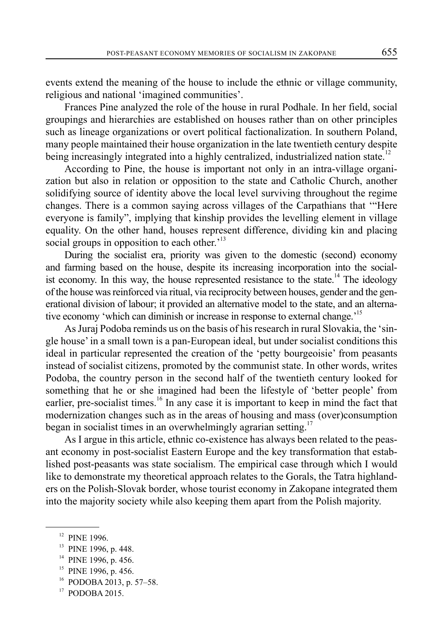events extend the meaning of the house to include the ethnic or village community, religious and national 'imagined communities'.

Frances Pine analyzed the role of the house in rural Podhale. In her field, social groupings and hierarchies are established on houses rather than on other principles such as lineage organizations or overt political factionalization. In southern Poland, many people maintained their house organization in the late twentieth century despite being increasingly integrated into a highly centralized, industrialized nation state.<sup>12</sup>

According to Pine, the house is important not only in an intra-village organization but also in relation or opposition to the state and Catholic Church, another solidifying source of identity above the local level surviving throughout the regime changes. There is a common saying across villages of the Carpathians that '"Here everyone is family", implying that kinship provides the levelling element in village equality. On the other hand, houses represent difference, dividing kin and placing social groups in opposition to each other.<sup>13</sup>

During the socialist era, priority was given to the domestic (second) economy and farming based on the house, despite its increasing incorporation into the socialist economy. In this way, the house represented resistance to the state.<sup>14</sup> The ideology of the house was reinforced via ritual, via reciprocity between houses, gender and the generational division of labour; it provided an alternative model to the state, and an alternative economy 'which can diminish or increase in response to external change.<sup>'15</sup>

As Juraj Podoba reminds us on the basis of his research in rural Slovakia, the 'single house' in a small town is a pan-European ideal, but under socialist conditions this ideal in particular represented the creation of the 'petty bourgeoisie' from peasants instead of socialist citizens, promoted by the communist state. In other words, writes Podoba, the country person in the second half of the twentieth century looked for something that he or she imagined had been the lifestyle of 'better people' from earlier, pre-socialist times.<sup>16</sup> In any case it is important to keep in mind the fact that modernization changes such as in the areas of housing and mass (over)consumption began in socialist times in an overwhelmingly agrarian setting.<sup>17</sup>

As I argue in this article, ethnic co-existence has always been related to the peasant economy in post-socialist Eastern Europe and the key transformation that established post-peasants was state socialism. The empirical case through which I would like to demonstrate my theoretical approach relates to the Gorals, the Tatra highlanders on the Polish-Slovak border, whose tourist economy in Zakopane integrated them into the majority society while also keeping them apart from the Polish majority.

<sup>&</sup>lt;sup>12</sup> PINE 1996.

<sup>&</sup>lt;sup>13</sup> PINE 1996, p. 448.

<sup>&</sup>lt;sup>14</sup> PINE 1996, p. 456.

<sup>&</sup>lt;sup>15</sup> PINE 1996, p. 456.

 $16$  PODOBA 2013, p. 57–58.

<sup>17</sup> PODOBA 2015.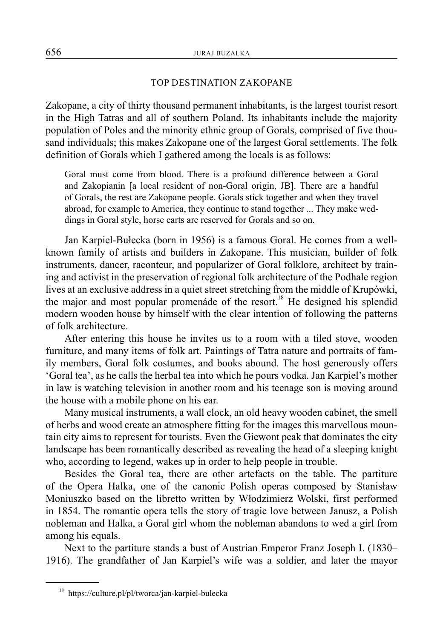#### TOP DESTINATION ZAKOPANE

Zakopane, a city of thirty thousand permanent inhabitants, is the largest tourist resort in the High Tatras and all of southern Poland. Its inhabitants include the majority population of Poles and the minority ethnic group of Gorals, comprised of five thousand individuals; this makes Zakopane one of the largest Goral settlements. The folk definition of Gorals which I gathered among the locals is as follows:

Goral must come from blood. There is a profound difference between a Goral and Zakopianin [a local resident of non-Goral origin, JB]. There are a handful of Gorals, the rest are Zakopane people. Gorals stick together and when they travel abroad, for example to America, they continue to stand together ... They make weddings in Goral style, horse carts are reserved for Gorals and so on.

Jan Karpiel-Bułecka (born in 1956) is a famous Goral. He comes from a wellknown family of artists and builders in Zakopane. This musician, builder of folk instruments, dancer, raconteur, and popularizer of Goral folklore, architect by training and activist in the preservation of regional folk architecture of the Podhale region lives at an exclusive address in a quiet street stretching from the middle of Krupówki, the major and most popular promenáde of the resort.<sup>18</sup> He designed his splendid modern wooden house by himself with the clear intention of following the patterns of folk architecture.

After entering this house he invites us to a room with a tiled stove, wooden furniture, and many items of folk art. Paintings of Tatra nature and portraits of family members, Goral folk costumes, and books abound. The host generously offers 'Goral tea', as he calls the herbal tea into which he pours vodka. Jan Karpiel's mother in law is watching television in another room and his teenage son is moving around the house with a mobile phone on his ear.

Many musical instruments, a wall clock, an old heavy wooden cabinet, the smell of herbs and wood create an atmosphere fitting for the images this marvellous mountain city aims to represent for tourists. Even the Giewont peak that dominates the city landscape has been romantically described as revealing the head of a sleeping knight who, according to legend, wakes up in order to help people in trouble.

Besides the Goral tea, there are other artefacts on the table. The partiture of the Opera Halka, one of the canonic Polish operas composed by Stanisław Moniuszko based on the libretto written by Włodzimierz Wolski, first performed in 1854. The romantic opera tells the story of tragic love between Janusz, a Polish nobleman and Halka, a Goral girl whom the nobleman abandons to wed a girl from among his equals.

Next to the partiture stands a bust of Austrian Emperor Franz Joseph I. (1830– 1916). The grandfather of Jan Karpiel's wife was a soldier, and later the mayor

<sup>18</sup> https://culture.pl/pl/tworca/jan-karpiel-bulecka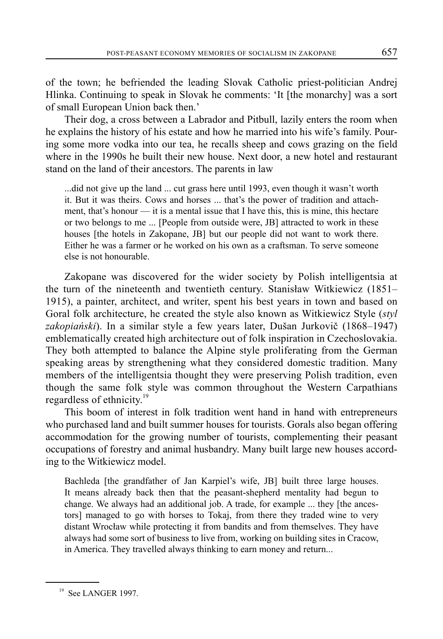of the town; he befriended the leading Slovak Catholic priest-politician Andrej Hlinka. Continuing to speak in Slovak he comments: 'It [the monarchy] was a sort of small European Union back then.'

Their dog, a cross between a Labrador and Pitbull, lazily enters the room when he explains the history of his estate and how he married into his wife's family. Pouring some more vodka into our tea, he recalls sheep and cows grazing on the field where in the 1990s he built their new house. Next door, a new hotel and restaurant stand on the land of their ancestors. The parents in law

...did not give up the land ... cut grass here until 1993, even though it wasn't worth it. But it was theirs. Cows and horses ... that's the power of tradition and attachment, that's honour — it is a mental issue that I have this, this is mine, this hectare or two belongs to me ... [People from outside were, JB] attracted to work in these houses [the hotels in Zakopane, JB] but our people did not want to work there. Either he was a farmer or he worked on his own as a craftsman. To serve someone else is not honourable.

Zakopane was discovered for the wider society by Polish intelligentsia at the turn of the nineteenth and twentieth century. Stanisław Witkiewicz (1851– 1915), a painter, architect, and writer, spent his best years in town and based on Goral folk architecture, he created the style also known as Witkiewicz Style (*styl zakopiański*). In a similar style a few years later, Dušan Jurkovič (1868–1947) emblematically created high architecture out of folk inspiration in Czechoslovakia. They both attempted to balance the Alpine style proliferating from the German speaking areas by strengthening what they considered domestic tradition. Many members of the intelligentsia thought they were preserving Polish tradition, even though the same folk style was common throughout the Western Carpathians regardless of ethnicity.<sup>19</sup>

This boom of interest in folk tradition went hand in hand with entrepreneurs who purchased land and built summer houses for tourists. Gorals also began offering accommodation for the growing number of tourists, complementing their peasant occupations of forestry and animal husbandry. Many built large new houses according to the Witkiewicz model.

Bachleda [the grandfather of Jan Karpiel's wife, JB] built three large houses. It means already back then that the peasant-shepherd mentality had begun to change. We always had an additional job. A trade, for example ... they [the ancestors] managed to go with horses to Tokaj, from there they traded wine to very distant Wrocław while protecting it from bandits and from themselves. They have always had some sort of business to live from, working on building sites in Cracow, in America. They travelled always thinking to earn money and return...

<sup>&</sup>lt;sup>19</sup> See LANGER 1997.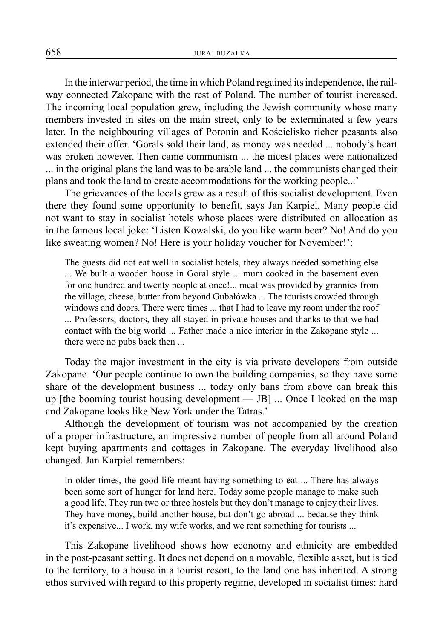In the interwar period, the time in which Poland regained its independence, the railway connected Zakopane with the rest of Poland. The number of tourist increased. The incoming local population grew, including the Jewish community whose many members invested in sites on the main street, only to be exterminated a few years later. In the neighbouring villages of Poronin and Kościelisko richer peasants also extended their offer. 'Gorals sold their land, as money was needed ... nobody's heart was broken however. Then came communism ... the nicest places were nationalized ... in the original plans the land was to be arable land ... the communists changed their plans and took the land to create accommodations for the working people...'

The grievances of the locals grew as a result of this socialist development. Even there they found some opportunity to benefit, says Jan Karpiel. Many people did not want to stay in socialist hotels whose places were distributed on allocation as in the famous local joke: 'Listen Kowalski, do you like warm beer? No! And do you like sweating women? No! Here is your holiday voucher for November!':

The guests did not eat well in socialist hotels, they always needed something else ... We built a wooden house in Goral style ... mum cooked in the basement even for one hundred and twenty people at once!... meat was provided by grannies from the village, cheese, butter from beyond Gubałówka ... The tourists crowded through windows and doors. There were times ... that I had to leave my room under the roof ... Professors, doctors, they all stayed in private houses and thanks to that we had contact with the big world ... Father made a nice interior in the Zakopane style ... there were no pubs back then ...

Today the major investment in the city is via private developers from outside Zakopane. 'Our people continue to own the building companies, so they have some share of the development business ... today only bans from above can break this up [the booming tourist housing development — JB]  $\ldots$  Once I looked on the map and Zakopane looks like New York under the Tatras.'

Although the development of tourism was not accompanied by the creation of a proper infrastructure, an impressive number of people from all around Poland kept buying apartments and cottages in Zakopane. The everyday livelihood also changed. Jan Karpiel remembers:

In older times, the good life meant having something to eat ... There has always been some sort of hunger for land here. Today some people manage to make such a good life. They run two or three hostels but they don't manage to enjoy their lives. They have money, build another house, but don't go abroad ... because they think it's expensive... I work, my wife works, and we rent something for tourists ...

This Zakopane livelihood shows how economy and ethnicity are embedded in the post-peasant setting. It does not depend on a movable, flexible asset, but is tied to the territory, to a house in a tourist resort, to the land one has inherited. A strong ethos survived with regard to this property regime, developed in socialist times: hard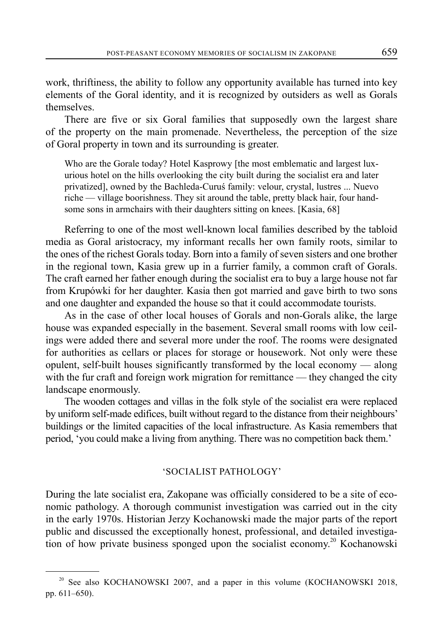work, thriftiness, the ability to follow any opportunity available has turned into key elements of the Goral identity, and it is recognized by outsiders as well as Gorals themselves.

There are five or six Goral families that supposedly own the largest share of the property on the main promenade. Nevertheless, the perception of the size of Goral property in town and its surrounding is greater.

Who are the Gorale today? Hotel Kasprowy [the most emblematic and largest luxurious hotel on the hills overlooking the city built during the socialist era and later privatized], owned by the Bachleda-Curuś family: velour, crystal, lustres ... Nuevo riche — village boorishness. They sit around the table, pretty black hair, four handsome sons in armchairs with their daughters sitting on knees. [Kasia, 68]

Referring to one of the most well-known local families described by the tabloid media as Goral aristocracy, my informant recalls her own family roots, similar to the ones of the richest Gorals today. Born into a family of seven sisters and one brother in the regional town, Kasia grew up in a furrier family, a common craft of Gorals. The craft earned her father enough during the socialist era to buy a large house not far from Krupówki for her daughter. Kasia then got married and gave birth to two sons and one daughter and expanded the house so that it could accommodate tourists.

As in the case of other local houses of Gorals and non-Gorals alike, the large house was expanded especially in the basement. Several small rooms with low ceilings were added there and several more under the roof. The rooms were designated for authorities as cellars or places for storage or housework. Not only were these opulent, self-built houses significantly transformed by the local economy — along with the fur craft and foreign work migration for remittance — they changed the city landscape enormously.

The wooden cottages and villas in the folk style of the socialist era were replaced by uniform self-made edifices, built without regard to the distance from their neighbours' buildings or the limited capacities of the local infrastructure. As Kasia remembers that period, 'you could make a living from anything. There was no competition back them.'

## 'SOCIALIST PATHOLOGY'

During the late socialist era, Zakopane was officially considered to be a site of economic pathology. A thorough communist investigation was carried out in the city in the early 1970s. Historian Jerzy Kochanowski made the major parts of the report public and discussed the exceptionally honest, professional, and detailed investigation of how private business sponged upon the socialist economy. 20 Kochanowski

<sup>&</sup>lt;sup>20</sup> See also KOCHANOWSKI 2007, and a paper in this volume (KOCHANOWSKI 2018, pp. 611–650).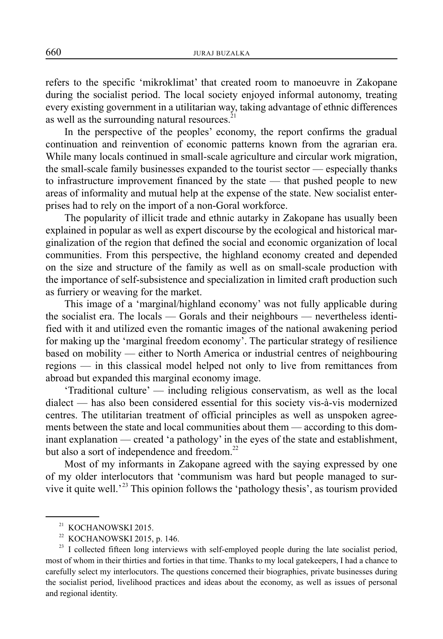refers to the specific 'mikroklimat' that created room to manoeuvre in Zakopane during the socialist period. The local society enjoyed informal autonomy, treating every existing government in a utilitarian way, taking advantage of ethnic differences as well as the surrounding natural resources.<sup>2</sup>

In the perspective of the peoples' economy, the report confirms the gradual continuation and reinvention of economic patterns known from the agrarian era. While many locals continued in small-scale agriculture and circular work migration, the small-scale family businesses expanded to the tourist sector — especially thanks to infrastructure improvement financed by the state — that pushed people to new areas of informality and mutual help at the expense of the state. New socialist enterprises had to rely on the import of a non-Goral workforce.

The popularity of illicit trade and ethnic autarky in Zakopane has usually been explained in popular as well as expert discourse by the ecological and historical marginalization of the region that defined the social and economic organization of local communities. From this perspective, the highland economy created and depended on the size and structure of the family as well as on small-scale production with the importance of self-subsistence and specialization in limited craft production such as furriery or weaving for the market.

This image of a 'marginal/highland economy' was not fully applicable during the socialist era. The locals — Gorals and their neighbours — nevertheless identified with it and utilized even the romantic images of the national awakening period for making up the 'marginal freedom economy'. The particular strategy of resilience based on mobility — either to North America or industrial centres of neighbouring regions — in this classical model helped not only to live from remittances from abroad but expanded this marginal economy image.

'Traditional culture' — including religious conservatism, as well as the local dialect — has also been considered essential for this society vis-à-vis modernized centres. The utilitarian treatment of official principles as well as unspoken agreements between the state and local communities about them — according to this dominant explanation — created 'a pathology' in the eyes of the state and establishment, but also a sort of independence and freedom. $^{22}$ 

Most of my informants in Zakopane agreed with the saying expressed by one of my older interlocutors that 'communism was hard but people managed to survive it quite well.<sup>23</sup> This opinion follows the 'pathology thesis', as tourism provided

<sup>&</sup>lt;sup>21</sup> KOCHANOWSKI 2015.

<sup>22</sup> KOCHANOWSKI 2015, p. 146.

<sup>&</sup>lt;sup>23</sup> I collected fifteen long interviews with self-employed people during the late socialist period, most of whom in their thirties and forties in that time. Thanks to my local gatekeepers, I had a chance to carefully select my interlocutors. The questions concerned their biographies, private businesses during the socialist period, livelihood practices and ideas about the economy, as well as issues of personal and regional identity.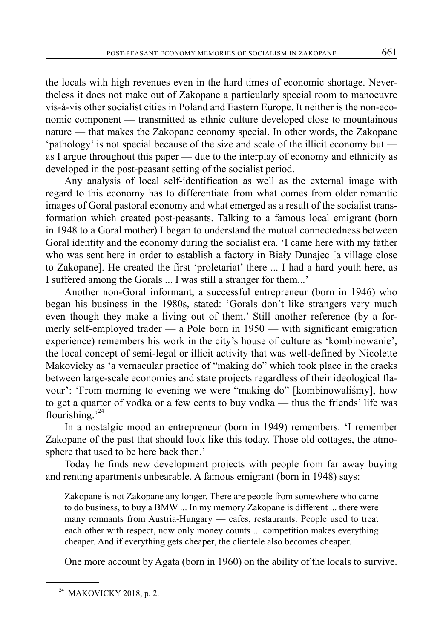the locals with high revenues even in the hard times of economic shortage. Nevertheless it does not make out of Zakopane a particularly special room to manoeuvre vis-à-vis other socialist cities in Poland and Eastern Europe. It neither is the non-economic component — transmitted as ethnic culture developed close to mountainous nature — that makes the Zakopane economy special. In other words, the Zakopane 'pathology' is not special because of the size and scale of the illicit economy but as I argue throughout this paper — due to the interplay of economy and ethnicity as developed in the post-peasant setting of the socialist period.

Any analysis of local self-identification as well as the external image with regard to this economy has to differentiate from what comes from older romantic images of Goral pastoral economy and what emerged as a result of the socialist transformation which created post-peasants. Talking to a famous local emigrant (born in 1948 to a Goral mother) I began to understand the mutual connectedness between Goral identity and the economy during the socialist era. 'I came here with my father who was sent here in order to establish a factory in Biały Dunajec [a village close to Zakopane]. He created the first 'proletariat' there ... I had a hard youth here, as I suffered among the Gorals ... I was still a stranger for them...'

Another non-Goral informant, a successful entrepreneur (born in 1946) who began his business in the 1980s, stated: 'Gorals don't like strangers very much even though they make a living out of them.' Still another reference (by a formerly self-employed trader — a Pole born in 1950 — with significant emigration experience) remembers his work in the city's house of culture as 'kombinowanie', the local concept of semi-legal or illicit activity that was well-defined by Nicolette Makovicky as 'a vernacular practice of "making do" which took place in the cracks between large-scale economies and state projects regardless of their ideological flavour': 'From morning to evening we were "making do" [kombinowaliśmy], how to get a quarter of vodka or a few cents to buy vodka — thus the friends' life was flourishing.<sup> $24$ </sup>

In a nostalgic mood an entrepreneur (born in 1949) remembers: 'I remember Zakopane of the past that should look like this today. Those old cottages, the atmosphere that used to be here back then.'

Today he finds new development projects with people from far away buying and renting apartments unbearable. A famous emigrant (born in 1948) says:

Zakopane is not Zakopane any longer. There are people from somewhere who came to do business, to buy a BMW ... In my memory Zakopane is different ... there were many remnants from Austria-Hungary — cafes, restaurants. People used to treat each other with respect, now only money counts ... competition makes everything cheaper. And if everything gets cheaper, the clientele also becomes cheaper.

One more account by Agata (born in 1960) on the ability of the locals to survive.

<sup>&</sup>lt;sup>24</sup> MAKOVICKY 2018, p. 2.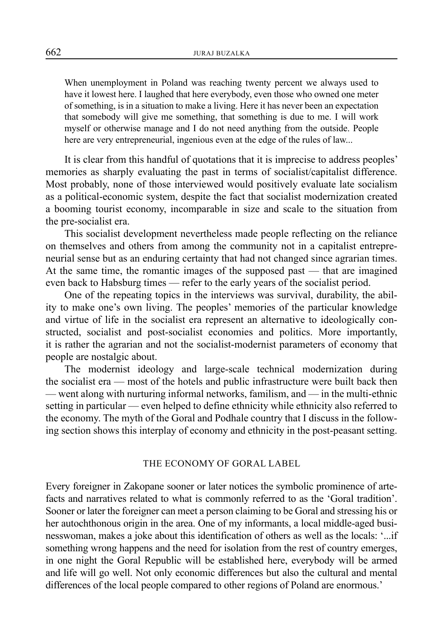When unemployment in Poland was reaching twenty percent we always used to have it lowest here. I laughed that here everybody, even those who owned one meter of something, is in a situation to make a living. Here it has never been an expectation that somebody will give me something, that something is due to me. I will work myself or otherwise manage and I do not need anything from the outside. People here are very entrepreneurial, ingenious even at the edge of the rules of law...

It is clear from this handful of quotations that it is imprecise to address peoples' memories as sharply evaluating the past in terms of socialist/capitalist difference. Most probably, none of those interviewed would positively evaluate late socialism as a political-economic system, despite the fact that socialist modernization created a booming tourist economy, incomparable in size and scale to the situation from the pre-socialist era.

This socialist development nevertheless made people reflecting on the reliance on themselves and others from among the community not in a capitalist entrepreneurial sense but as an enduring certainty that had not changed since agrarian times. At the same time, the romantic images of the supposed past — that are imagined even back to Habsburg times — refer to the early years of the socialist period.

One of the repeating topics in the interviews was survival, durability, the ability to make one's own living. The peoples' memories of the particular knowledge and virtue of life in the socialist era represent an alternative to ideologically constructed, socialist and post-socialist economies and politics. More importantly, it is rather the agrarian and not the socialist-modernist parameters of economy that people are nostalgic about.

The modernist ideology and large-scale technical modernization during the socialist era — most of the hotels and public infrastructure were built back then — went along with nurturing informal networks, familism, and — in the multi-ethnic setting in particular — even helped to define ethnicity while ethnicity also referred to the economy. The myth of the Goral and Podhale country that I discuss in the following section shows this interplay of economy and ethnicity in the post-peasant setting.

#### THE ECONOMY OF GORAL LABEL

Every foreigner in Zakopane sooner or later notices the symbolic prominence of artefacts and narratives related to what is commonly referred to as the 'Goral tradition'. Sooner or later the foreigner can meet a person claiming to be Goral and stressing his or her autochthonous origin in the area. One of my informants, a local middle-aged businesswoman, makes a joke about this identification of others as well as the locals: '...if something wrong happens and the need for isolation from the rest of country emerges, in one night the Goral Republic will be established here, everybody will be armed and life will go well. Not only economic differences but also the cultural and mental differences of the local people compared to other regions of Poland are enormous.'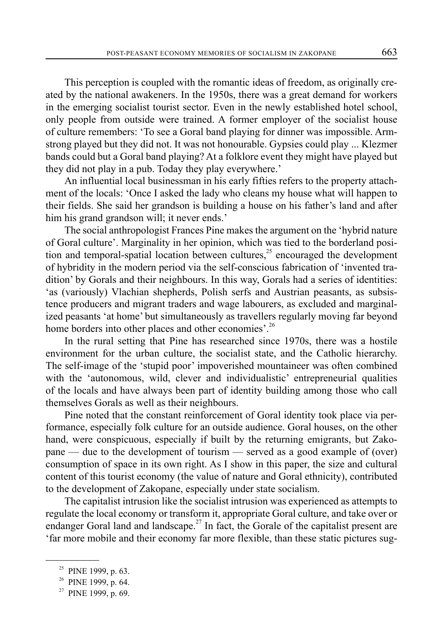This perception is coupled with the romantic ideas of freedom, as originally created by the national awakeners. In the 1950s, there was a great demand for workers in the emerging socialist tourist sector. Even in the newly established hotel school, only people from outside were trained. A former employer of the socialist house of culture remembers: 'To see a Goral band playing for dinner was impossible. Armstrong played but they did not. It was not honourable. Gypsies could play ... Klezmer bands could but a Goral band playing? At a folklore event they might have played but they did not play in a pub. Today they play everywhere.'

An influential local businessman in his early fifties refers to the property attachment of the locals: 'Once I asked the lady who cleans my house what will happen to their fields. She said her grandson is building a house on his father's land and after him his grand grandson will; it never ends.'

The social anthropologist Frances Pine makes the argument on the 'hybrid nature of Goral culture'. Marginality in her opinion, which was tied to the borderland position and temporal-spatial location between cultures, $25$  encouraged the development of hybridity in the modern period via the self-conscious fabrication of 'invented tradition' by Gorals and their neighbours. In this way, Gorals had a series of identities: 'as (variously) Vlachian shepherds, Polish serfs and Austrian peasants, as subsistence producers and migrant traders and wage labourers, as excluded and marginalized peasants 'at home' but simultaneously as travellers regularly moving far beyond home borders into other places and other economies'.<sup>26</sup>

In the rural setting that Pine has researched since 1970s, there was a hostile environment for the urban culture, the socialist state, and the Catholic hierarchy. The self-image of the 'stupid poor' impoverished mountaineer was often combined with the 'autonomous, wild, clever and individualistic' entrepreneurial qualities of the locals and have always been part of identity building among those who call themselves Gorals as well as their neighbours.

Pine noted that the constant reinforcement of Goral identity took place via performance, especially folk culture for an outside audience. Goral houses, on the other hand, were conspicuous, especially if built by the returning emigrants, but Zakopane — due to the development of tourism — served as a good example of (over) consumption of space in its own right. As I show in this paper, the size and cultural content of this tourist economy (the value of nature and Goral ethnicity), contributed to the development of Zakopane, especially under state socialism.

The capitalist intrusion like the socialist intrusion was experienced as attempts to regulate the local economy or transform it, appropriate Goral culture, and take over or endanger Goral land and landscape.<sup>27</sup> In fact, the Gorale of the capitalist present are 'far more mobile and their economy far more flexible, than these static pictures sug-

<sup>&</sup>lt;sup>25</sup> PINE 1999, p. 63.

<sup>&</sup>lt;sup>26</sup> PINE 1999, p. 64.

 $27$  PINE 1999, p. 69.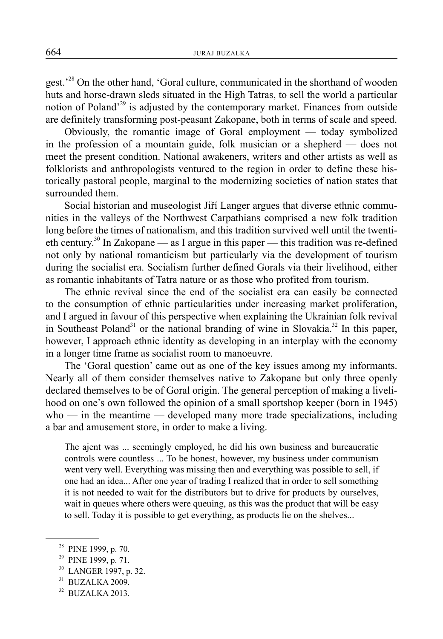gest.<sup>28</sup> On the other hand, 'Goral culture, communicated in the shorthand of wooden huts and horse-drawn sleds situated in the High Tatras, to sell the world a particular notion of Poland'29 is adjusted by the contemporary market. Finances from outside are definitely transforming post-peasant Zakopane, both in terms of scale and speed.

Obviously, the romantic image of Goral employment — today symbolized in the profession of a mountain guide, folk musician or a shepherd — does not meet the present condition. National awakeners, writers and other artists as well as folklorists and anthropologists ventured to the region in order to define these historically pastoral people, marginal to the modernizing societies of nation states that surrounded them.

Social historian and museologist Jiří Langer argues that diverse ethnic communities in the valleys of the Northwest Carpathians comprised a new folk tradition long before the times of nationalism, and this tradition survived well until the twentieth century.<sup>30</sup> In Zakopane — as I argue in this paper — this tradition was re-defined not only by national romanticism but particularly via the development of tourism during the socialist era. Socialism further defined Gorals via their livelihood, either as romantic inhabitants of Tatra nature or as those who profited from tourism.

The ethnic revival since the end of the socialist era can easily be connected to the consumption of ethnic particularities under increasing market proliferation, and I argued in favour of this perspective when explaining the Ukrainian folk revival in Southeast Poland<sup>31</sup> or the national branding of wine in Slovakia.<sup>32</sup> In this paper, however, I approach ethnic identity as developing in an interplay with the economy in a longer time frame as socialist room to manoeuvre.

The 'Goral question' came out as one of the key issues among my informants. Nearly all of them consider themselves native to Zakopane but only three openly declared themselves to be of Goral origin. The general perception of making a livelihood on one's own followed the opinion of a small sportshop keeper (born in 1945) who — in the meantime — developed many more trade specializations, including a bar and amusement store, in order to make a living.

The ajent was ... seemingly employed, he did his own business and bureaucratic controls were countless ... To be honest, however, my business under communism went very well. Everything was missing then and everything was possible to sell, if one had an idea... After one year of trading I realized that in order to sell something it is not needed to wait for the distributors but to drive for products by ourselves, wait in queues where others were queuing, as this was the product that will be easy to sell. Today it is possible to get everything, as products lie on the shelves...

<sup>&</sup>lt;sup>28</sup> PINE 1999, p. 70.

<sup>&</sup>lt;sup>29</sup> PINE 1999, p. 71.

LANGER 1997, p. 32.

 $31$  BUZALKA 2009.

<sup>32</sup> BUZALKA 2013.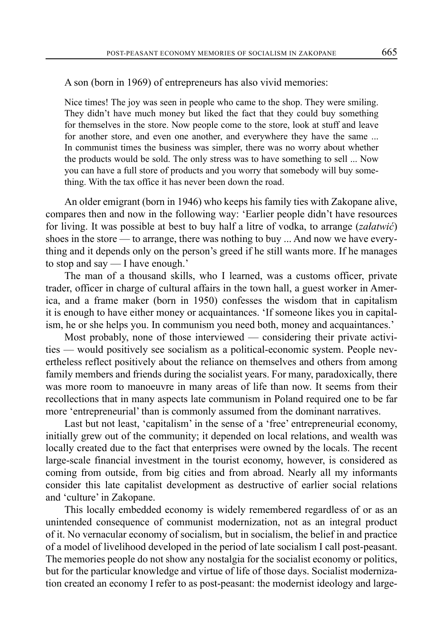A son (born in 1969) of entrepreneurs has also vivid memories:

Nice times! The joy was seen in people who came to the shop. They were smiling. They didn't have much money but liked the fact that they could buy something for themselves in the store. Now people come to the store, look at stuff and leave for another store, and even one another, and everywhere they have the same ... In communist times the business was simpler, there was no worry about whether the products would be sold. The only stress was to have something to sell ... Now you can have a full store of products and you worry that somebody will buy something. With the tax office it has never been down the road.

An older emigrant (born in 1946) who keeps his family ties with Zakopane alive, compares then and now in the following way: 'Earlier people didn't have resources for living. It was possible at best to buy half a litre of vodka, to arrange (*załatwić*) shoes in the store — to arrange, there was nothing to buy ... And now we have everything and it depends only on the person's greed if he still wants more. If he manages to stop and say — I have enough.'

The man of a thousand skills, who I learned, was a customs officer, private trader, officer in charge of cultural affairs in the town hall, a guest worker in America, and a frame maker (born in 1950) confesses the wisdom that in capitalism it is enough to have either money or acquaintances. 'If someone likes you in capitalism, he or she helps you. In communism you need both, money and acquaintances.'

Most probably, none of those interviewed — considering their private activities — would positively see socialism as a political-economic system. People nevertheless reflect positively about the reliance on themselves and others from among family members and friends during the socialist years. For many, paradoxically, there was more room to manoeuvre in many areas of life than now. It seems from their recollections that in many aspects late communism in Poland required one to be far more 'entrepreneurial' than is commonly assumed from the dominant narratives.

Last but not least, 'capitalism' in the sense of a 'free' entrepreneurial economy, initially grew out of the community; it depended on local relations, and wealth was locally created due to the fact that enterprises were owned by the locals. The recent large-scale financial investment in the tourist economy, however, is considered as coming from outside, from big cities and from abroad. Nearly all my informants consider this late capitalist development as destructive of earlier social relations and 'culture' in Zakopane.

This locally embedded economy is widely remembered regardless of or as an unintended consequence of communist modernization, not as an integral product of it. No vernacular economy of socialism, but in socialism, the belief in and practice of a model of livelihood developed in the period of late socialism I call post-peasant. The memories people do not show any nostalgia for the socialist economy or politics, but for the particular knowledge and virtue of life of those days. Socialist modernization created an economy I refer to as post-peasant: the modernist ideology and large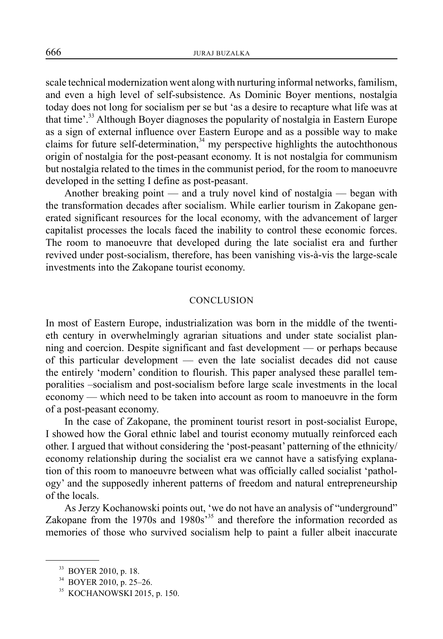scale technical modernization went along with nurturing informal networks, familism, and even a high level of self-subsistence. As Dominic Boyer mentions, nostalgia today does not long for socialism per se but 'as a desire to recapture what life was at that time'.33 Although Boyer diagnoses the popularity of nostalgia in Eastern Europe as a sign of external influence over Eastern Europe and as a possible way to make claims for future self-determination, $34$  my perspective highlights the autochthonous origin of nostalgia for the post-peasant economy. It is not nostalgia for communism but nostalgia related to the times in the communist period, for the room to manoeuvre developed in the setting I define as post-peasant.

Another breaking point — and a truly novel kind of nostalgia — began with the transformation decades after socialism. While earlier tourism in Zakopane generated significant resources for the local economy, with the advancement of larger capitalist processes the locals faced the inability to control these economic forces. The room to manoeuvre that developed during the late socialist era and further revived under post-socialism, therefore, has been vanishing vis-à-vis the large-scale investments into the Zakopane tourist economy.

#### **CONCLUSION**

In most of Eastern Europe, industrialization was born in the middle of the twentieth century in overwhelmingly agrarian situations and under state socialist planning and coercion. Despite significant and fast development — or perhaps because of this particular development — even the late socialist decades did not cause the entirely 'modern' condition to flourish. This paper analysed these parallel temporalities –socialism and post-socialism before large scale investments in the local economy — which need to be taken into account as room to manoeuvre in the form of a post-peasant economy.

In the case of Zakopane, the prominent tourist resort in post-socialist Europe, I showed how the Goral ethnic label and tourist economy mutually reinforced each other. I argued that without considering the 'post-peasant' patterning of the ethnicity/ economy relationship during the socialist era we cannot have a satisfying explanation of this room to manoeuvre between what was officially called socialist 'pathology' and the supposedly inherent patterns of freedom and natural entrepreneurship of the locals.

As Jerzy Kochanowski points out, 'we do not have an analysis of "underground" Zakopane from the 1970s and 1980s<sup>35</sup> and therefore the information recorded as memories of those who survived socialism help to paint a fuller albeit inaccurate

<sup>33</sup> BOYER 2010, p. 18.

<sup>34</sup> BOYER 2010, p. 25–26.

<sup>35</sup> KOCHANOWSKI 2015, p. 150.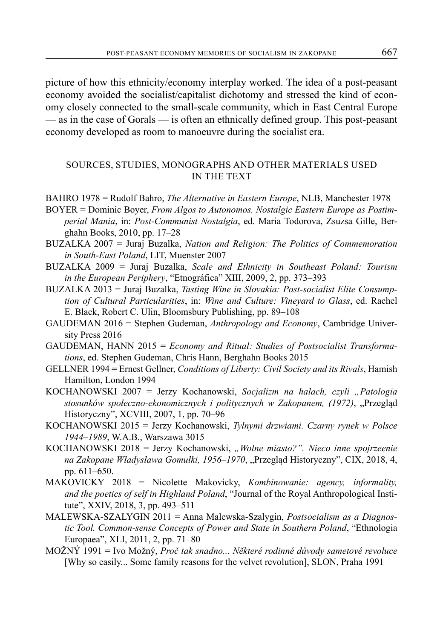picture of how this ethnicity/economy interplay worked. The idea of a post-peasant economy avoided the socialist/capitalist dichotomy and stressed the kind of economy closely connected to the small-scale community, which in East Central Europe — as in the case of Gorals — is often an ethnically defined group. This post-peasant economy developed as room to manoeuvre during the socialist era.

# SOURCES, STUDIES, MONOGRAPHS AND OTHER MATERIALS USED IN THE TEXT

- BAHRO 1978 = Rudolf Bahro, *The Alternative in Eastern Europe*, NLB, Manchester 1978
- BOYER = Dominic Boyer, *From Algos to Autonomos. Nostalgic Eastern Europe as Postimperial Mania*, in: *Post-Communist Nostalgia*, ed. Maria Todorova, Zsuzsa Gille, Berghahn Books, 2010, pp. 17–28
- BUZALKA 2007 = Juraj Buzalka, *Nation and Religion: The Politics of Commemoration in South-East Poland*, LIT, Muenster 2007
- BUZALKA 2009 = Juraj Buzalka, *Scale and Ethnicity in Southeast Poland: Tourism in the European Periphery*, "Etnográfica" XIII, 2009, 2, pp. 373–393
- BUZALKA 2013 = Juraj Buzalka, *Tasting Wine in Slovakia: Post-socialist Elite Consumption of Cultural Particularities*, in: *Wine and Culture: Vineyard to Glass*, ed. Rachel E. Black, Robert C. Ulin, Bloomsbury Publishing, pp. 89–108
- GAUDEMAN 2016 = Stephen Gudeman, *Anthropology and Economy*, Cambridge University Press 2016
- GAUDEMAN, HANN 2015 = *Economy and Ritual: Studies of Postsocialist Transformations*, ed. Stephen Gudeman, Chris Hann, Berghahn Books 2015
- GELLNER 1994 = Ernest Gellner, *Conditions of Liberty: Civil Society and its Rivals*, Hamish Hamilton, London 1994
- KOCHANOWSKI 2007 = Jerzy Kochanowski, *Socjalizm na halach, czyli "Patologia stosunków społeczno-ekonomicznych i politycznych w Zakopanem, (1972)*, "Przegląd Historyczny", XCVIII, 2007, 1, pp. 70–96
- KOCHANOWSKI 2015 = Jerzy Kochanowski, *Tylnymi drzwiami. Czarny rynek w Polsce 1944–1989*, W.A.B., Warszawa 3015
- KOCHANOWSKI 2018 = Jerzy Kochanowski, *"Wolne miasto?". Nieco inne spojrzeenie na Zakopane Władysława Gomułki, 1956–1970*, "Przegląd Historyczny", CIX, 2018, 4, pp. 611–650.
- MAKOVICKY 2018 = Nicolette Makovicky, *Kombinowanie: agency, informality, and the poetics of self in Highland Poland*, "Journal of the Royal Anthropological Institute", XXIV, 2018, 3, pp. 493–511
- MALEWSKA-SZALYGIN 2011 = Anna Malewska-Szalygin, *Postsocialism as a Diagnostic Tool. Common-sense Concepts of Power and State in Southern Poland*, "Ethnologia Europaea", XLI, 2011, 2, pp. 71–80
- MOŽNÝ 1991 = Ivo Možný, *Proč tak snadno... Některé rodinné důvody sametové revoluce*  [Why so easily... Some family reasons for the velvet revolution], SLON, Praha 1991